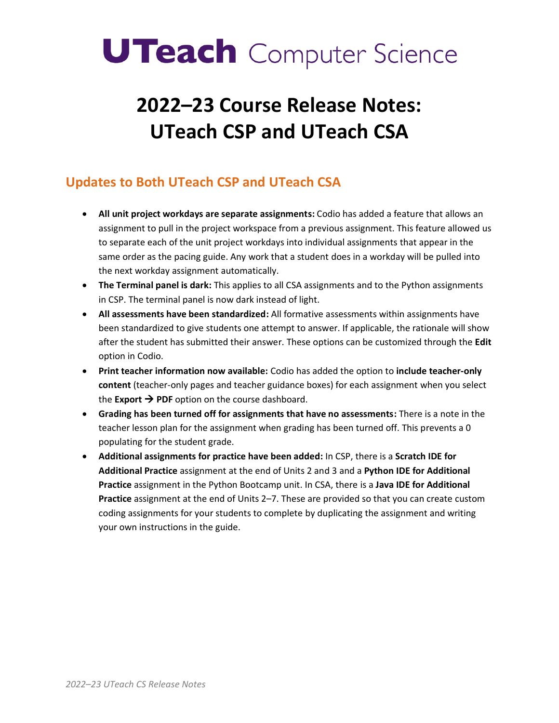# **UTeach** Computer Science

## **2022–23 Course Release Notes: UTeach CSP and UTeach CSA**

### **Updates to Both UTeach CSP and UTeach CSA**

- **All unit project workdays are separate assignments:** Codio has added a feature that allows an assignment to pull in the project workspace from a previous assignment. This feature allowed us to separate each of the unit project workdays into individual assignments that appear in the same order as the pacing guide. Any work that a student does in a workday will be pulled into the next workday assignment automatically.
- **The Terminal panel is dark:** This applies to all CSA assignments and to the Python assignments in CSP. The terminal panel is now dark instead of light.
- **All assessments have been standardized:** All formative assessments within assignments have been standardized to give students one attempt to answer. If applicable, the rationale will show after the student has submitted their answer. These options can be customized through the **Edit**  option in Codio.
- **Print teacher information now available:** Codio has added the option to **include teacher-only content** (teacher-only pages and teacher guidance boxes) for each assignment when you select the **Export**  $\rightarrow$  **PDF** option on the course dashboard.
- **Grading has been turned off for assignments that have no assessments:** There is a note in the teacher lesson plan for the assignment when grading has been turned off. This prevents a 0 populating for the student grade.
- **Additional assignments for practice have been added:** In CSP, there is a **Scratch IDE for Additional Practice** assignment at the end of Units 2 and 3 and a **Python IDE for Additional Practice** assignment in the Python Bootcamp unit. In CSA, there is a **Java IDE for Additional Practice** assignment at the end of Units 2–7. These are provided so that you can create custom coding assignments for your students to complete by duplicating the assignment and writing your own instructions in the guide.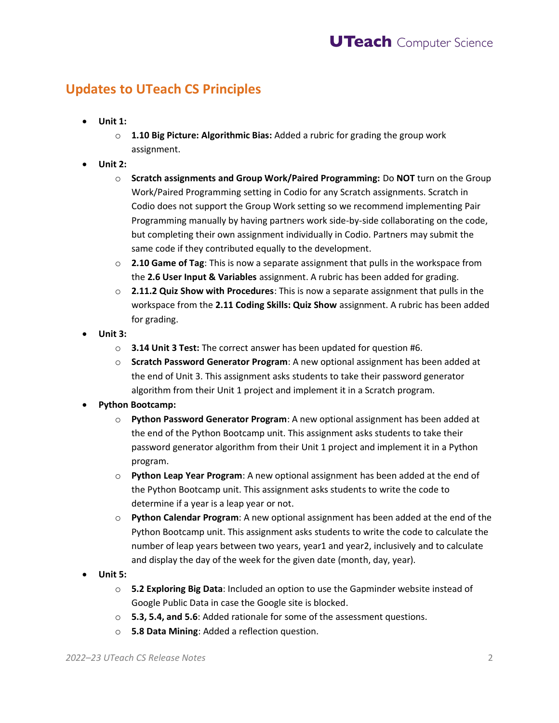#### **Updates to UTeach CS Principles**

- **Unit 1:** 
	- o **1.10 Big Picture: Algorithmic Bias:** Added a rubric for grading the group work assignment.
- **Unit 2:** 
	- o **Scratch assignments and Group Work/Paired Programming:** Do **NOT** turn on the Group Work/Paired Programming setting in Codio for any Scratch assignments. Scratch in Codio does not support the Group Work setting so we recommend implementing Pair Programming manually by having partners work side-by-side collaborating on the code, but completing their own assignment individually in Codio. Partners may submit the same code if they contributed equally to the development.
	- o **2.10 Game of Tag**: This is now a separate assignment that pulls in the workspace from the **2.6 User Input & Variables** assignment. A rubric has been added for grading.
	- o **2.11.2 Quiz Show with Procedures**: This is now a separate assignment that pulls in the workspace from the **2.11 Coding Skills: Quiz Show** assignment. A rubric has been added for grading.
- **Unit 3:** 
	- o **3.14 Unit 3 Test:** The correct answer has been updated for question #6.
	- o **Scratch Password Generator Program**: A new optional assignment has been added at the end of Unit 3. This assignment asks students to take their password generator algorithm from their Unit 1 project and implement it in a Scratch program.
- **Python Bootcamp:** 
	- password generator algorithm from their Unit 1 project and implement it in a Python o **Python Password Generator Program**: A new optional assignment has been added at the end of the Python Bootcamp unit. This assignment asks students to take their program.
	- o **Python Leap Year Program**: A new optional assignment has been added at the end of the Python Bootcamp unit. This assignment asks students to write the code to determine if a year is a leap year or not.
	- o **Python Calendar Program**: A new optional assignment has been added at the end of the Python Bootcamp unit. This assignment asks students to write the code to calculate the number of leap years between two years, year1 and year2, inclusively and to calculate and display the day of the week for the given date (month, day, year).
- **Unit 5:** 
	- o **5.2 Exploring Big Data**: Included an option to use the Gapminder website instead of Google Public Data in case the Google site is blocked.
	- o **5.3, 5.4, and 5.6**: Added rationale for some of the assessment questions.
	- o **5.8 Data Mining**: Added a reflection question.